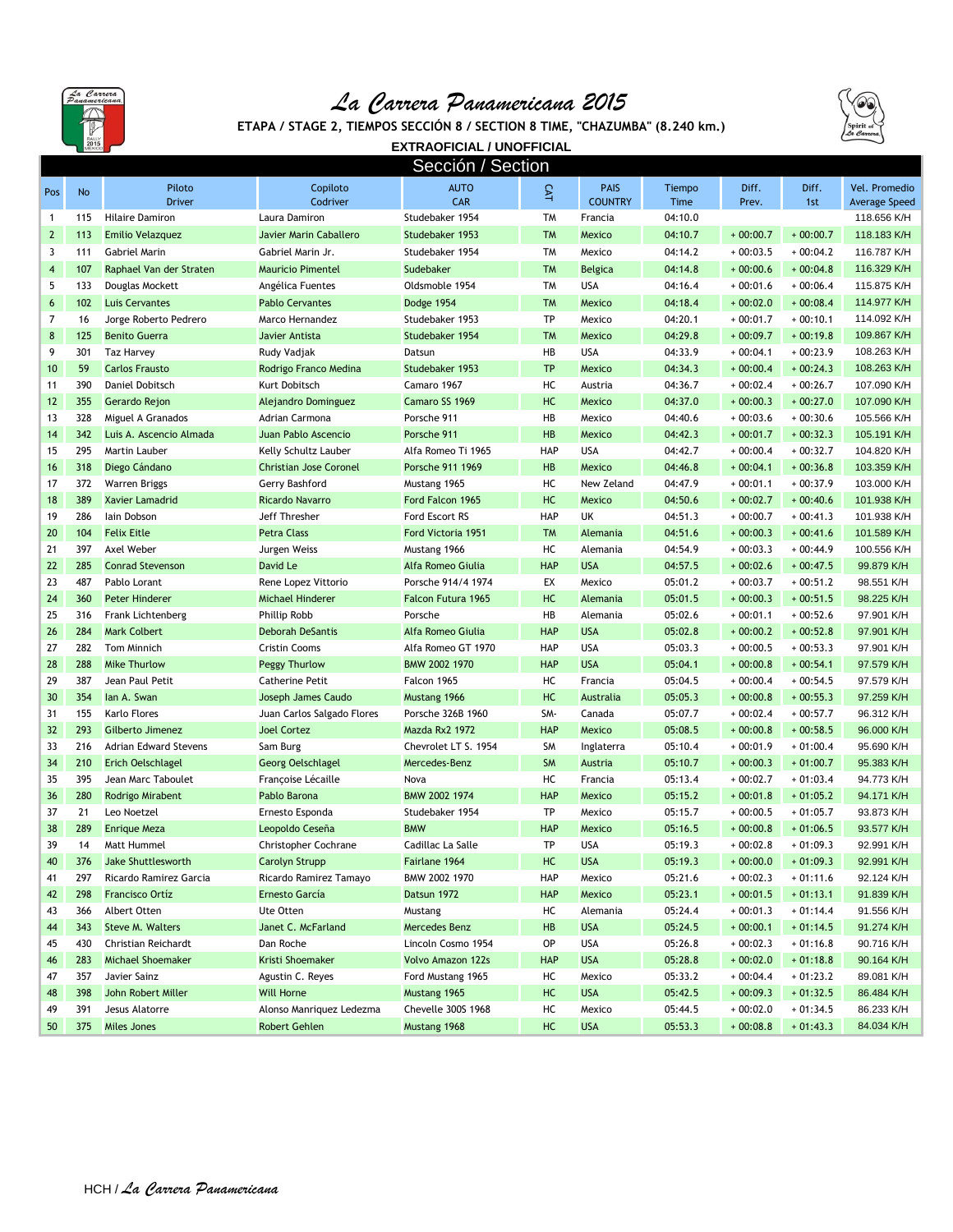

## *La Carrera Panamericana 2015*



**ETAPA / STAGE 2, TIEMPOS SECCIÓN 8 / SECTION 8 TIME, "CHAZUMBA" (8.240 km.)**

**EXTRAOFICIAL / UNOFFICIAL**

| Sección / Section       |     |                         |                            |                           |            |                               |                |                |              |                                       |
|-------------------------|-----|-------------------------|----------------------------|---------------------------|------------|-------------------------------|----------------|----------------|--------------|---------------------------------------|
| Pos                     | No  | Piloto<br><b>Driver</b> | Copiloto<br>Codriver       | <b>AUTO</b><br><b>CAR</b> | CAT        | <b>PAIS</b><br><b>COUNTRY</b> | Tiempo<br>Time | Diff.<br>Prev. | Diff.<br>1st | Vel. Promedio<br><b>Average Speed</b> |
| $\mathbf{1}$            | 115 | <b>Hilaire Damiron</b>  | Laura Damiron              | Studebaker 1954           | <b>TM</b>  | Francia                       | 04:10.0        |                |              | 118.656 K/H                           |
| $\mathbf{2}$            | 113 | Emilio Velazquez        | Javier Marin Caballero     | Studebaker 1953           | <b>TM</b>  | Mexico                        | 04:10.7        | $+00:00.7$     | $+00:00.7$   | 118.183 K/H                           |
| 3                       | 111 | Gabriel Marin           | Gabriel Marin Jr.          | Studebaker 1954           | <b>TM</b>  | Mexico                        | 04:14.2        | $+00:03.5$     | $+00:04.2$   | 116.787 K/H                           |
| $\overline{\mathbf{4}}$ | 107 | Raphael Van der Straten | <b>Mauricio Pimentel</b>   | Sudebaker                 | <b>TM</b>  | <b>Belgica</b>                | 04:14.8        | $+00:00.6$     | $+00:04.8$   | 116.329 K/H                           |
| 5                       | 133 | Douglas Mockett         | Angélica Fuentes           | Oldsmoble 1954            | <b>TM</b>  | <b>USA</b>                    | 04:16.4        | $+00:01.6$     | $+00:06.4$   | 115.875 K/H                           |
| 6                       | 102 | <b>Luis Cervantes</b>   | <b>Pablo Cervantes</b>     | Dodge 1954                | <b>TM</b>  | <b>Mexico</b>                 | 04:18.4        | $+00:02.0$     | $+00:08.4$   | 114.977 K/H                           |
| 7                       | 16  | Jorge Roberto Pedrero   | Marco Hernandez            | Studebaker 1953           | TP         | Mexico                        | 04:20.1        | $+00:01.7$     | $+00:10.1$   | 114.092 K/H                           |
| 8                       | 125 | <b>Benito Guerra</b>    | Javier Antista             | Studebaker 1954           | <b>TM</b>  | <b>Mexico</b>                 | 04:29.8        | $+00:09.7$     | $+00:19.8$   | 109.867 K/H                           |
| 9                       | 301 | <b>Taz Harvey</b>       | Rudy Vadjak                | Datsun                    | HB         | <b>USA</b>                    | 04:33.9        | $+00:04.1$     | $+00:23.9$   | 108.263 K/H                           |
| 10                      | 59  | <b>Carlos Frausto</b>   | Rodrigo Franco Medina      | Studebaker 1953           | <b>TP</b>  | Mexico                        | 04:34.3        | $+00:00.4$     | $+00:24.3$   | 108.263 K/H                           |
| 11                      | 390 | Daniel Dobitsch         | Kurt Dobitsch              | Camaro 1967               | HC         | Austria                       | 04:36.7        | $+00:02.4$     | $+00:26.7$   | 107.090 K/H                           |
| 12                      | 355 | Gerardo Rejon           | Alejandro Dominguez        | Camaro SS 1969            | HC         | <b>Mexico</b>                 | 04:37.0        | $+00:00.3$     | $+00:27.0$   | 107.090 K/H                           |
| 13                      | 328 | Miguel A Granados       | Adrian Carmona             | Porsche 911               | HB         | Mexico                        | 04:40.6        | $+00:03.6$     | $+00:30.6$   | 105.566 K/H                           |
| 14                      | 342 | Luis A. Ascencio Almada | Juan Pablo Ascencio        | Porsche 911               | HB         | <b>Mexico</b>                 | 04:42.3        | $+00:01.7$     | $+00:32.3$   | 105.191 K/H                           |
| 15                      | 295 | Martin Lauber           | Kelly Schultz Lauber       | Alfa Romeo Ti 1965        | <b>HAP</b> | <b>USA</b>                    | 04:42.7        | $+00:00.4$     | $+00:32.7$   | 104.820 K/H                           |
| 16                      | 318 | Diego Cándano           | Christian Jose Coronel     | Porsche 911 1969          | HB         | <b>Mexico</b>                 | 04:46.8        | $+00:04.1$     | $+00:36.8$   | 103.359 K/H                           |
| 17                      | 372 | Warren Briggs           | Gerry Bashford             | Mustang 1965              | HC         | New Zeland                    | 04:47.9        | $+00:01.1$     | $+00:37.9$   | 103.000 K/H                           |
| 18                      | 389 | <b>Xavier Lamadrid</b>  | Ricardo Navarro            | Ford Falcon 1965          | HC         | <b>Mexico</b>                 | 04:50.6        | $+00:02.7$     | $+00:40.6$   | 101.938 K/H                           |
| 19                      | 286 | lain Dobson             | Jeff Thresher              | Ford Escort RS            | <b>HAP</b> | UK                            | 04:51.3        | $+00:00.7$     | $+00:41.3$   | 101.938 K/H                           |
| 20                      | 104 | <b>Felix Eitle</b>      | <b>Petra Class</b>         | Ford Victoria 1951        | <b>TM</b>  | Alemania                      | 04:51.6        | $+00:00.3$     | $+00:41.6$   | 101.589 K/H                           |
| 21                      | 397 | Axel Weber              | Jurgen Weiss               | Mustang 1966              | HC         | Alemania                      | 04:54.9        | $+00:03.3$     | $+00:44.9$   | 100.556 K/H                           |
| 22                      | 285 | <b>Conrad Stevenson</b> | David Le                   | Alfa Romeo Giulia         | <b>HAP</b> | <b>USA</b>                    | 04:57.5        | $+00:02.6$     | $+00:47.5$   | 99.879 K/H                            |
| 23                      | 487 | Pablo Lorant            | Rene Lopez Vittorio        | Porsche 914/4 1974        | EX         | Mexico                        | 05:01.2        | $+00:03.7$     | $+00:51.2$   | 98.551 K/H                            |
| 24                      | 360 | <b>Peter Hinderer</b>   | Michael Hinderer           | Falcon Futura 1965        | HC         | Alemania                      | 05:01.5        | $+00:00.3$     | $+00:51.5$   | 98.225 K/H                            |
| 25                      | 316 | Frank Lichtenberg       | <b>Phillip Robb</b>        | Porsche                   | HB         | Alemania                      | 05:02.6        | $+00:01.1$     | $+00:52.6$   | 97.901 K/H                            |
| 26                      | 284 | <b>Mark Colbert</b>     | <b>Deborah DeSantis</b>    | Alfa Romeo Giulia         | <b>HAP</b> | <b>USA</b>                    | 05:02.8        | $+00:00.2$     | $+00:52.8$   | 97.901 K/H                            |
| 27                      | 282 | <b>Tom Minnich</b>      | <b>Cristin Cooms</b>       | Alfa Romeo GT 1970        | <b>HAP</b> | <b>USA</b>                    | 05:03.3        | $+00:00.5$     | $+00:53.3$   | 97.901 K/H                            |
| 28                      | 288 | <b>Mike Thurlow</b>     | <b>Peggy Thurlow</b>       | BMW 2002 1970             | <b>HAP</b> | <b>USA</b>                    | 05:04.1        | $+00:00.8$     | $+00:54.1$   | 97.579 K/H                            |
| 29                      | 387 | Jean Paul Petit         | <b>Catherine Petit</b>     | Falcon 1965               | HC         | Francia                       | 05:04.5        | $+00:00.4$     | $+00:54.5$   | 97.579 K/H                            |
| 30                      | 354 | lan A. Swan             | Joseph James Caudo         | Mustang 1966              | HC         | Australia                     | 05:05.3        | $+00:00.8$     | $+00:55.3$   | 97.259 K/H                            |
| 31                      | 155 | Karlo Flores            | Juan Carlos Salgado Flores | Porsche 326B 1960         | SM-        | Canada                        | 05:07.7        | $+00:02.4$     | $+00:57.7$   | 96.312 K/H                            |
| 32                      | 293 | Gilberto Jimenez        | <b>Joel Cortez</b>         | Mazda Rx2 1972            | <b>HAP</b> | <b>Mexico</b>                 | 05:08.5        | $+00:00.8$     | $+00:58.5$   | 96.000 K/H                            |
| 33                      | 216 | Adrian Edward Stevens   | Sam Burg                   | Chevrolet LT S. 1954      | <b>SM</b>  | Inglaterra                    | 05:10.4        | $+00:01.9$     | $+01:00.4$   | 95.690 K/H                            |
| 34                      | 210 | Erich Oelschlagel       | <b>Georg Oelschlagel</b>   | Mercedes-Benz             | <b>SM</b>  | Austria                       | 05:10.7        | $+00:00.3$     | $+01:00.7$   | 95.383 K/H                            |
| 35                      | 395 | Jean Marc Taboulet      | Francoise Lécaille         | Nova                      | HC         | Francia                       | 05:13.4        | $+00:02.7$     | $+01:03.4$   | 94.773 K/H                            |
| 36                      | 280 | Rodrigo Mirabent        | Pablo Barona               | BMW 2002 1974             | <b>HAP</b> | <b>Mexico</b>                 | 05:15.2        | $+00:01.8$     | $+01:05.2$   | 94.171 K/H                            |
| 37                      | 21  | Leo Noetzel             | Ernesto Esponda            | Studebaker 1954           | TP         | Mexico                        | 05:15.7        | $+00:00.5$     | $+01:05.7$   | 93.873 K/H                            |
| 38                      | 289 | <b>Enrique Meza</b>     | Leopoldo Ceseña            | <b>BMW</b>                | <b>HAP</b> | <b>Mexico</b>                 | 05:16.5        | $+00:00.8$     | $+01:06.5$   | 93.577 K/H                            |
| 39                      | 14  | Matt Hummel             | Christopher Cochrane       | Cadillac La Salle         | TP         | <b>USA</b>                    | 05:19.3        | $+00:02.8$     | $+01:09.3$   | 92.991 K/H                            |
| 40                      | 376 | Jake Shuttlesworth      | <b>Carolyn Strupp</b>      | Fairlane 1964             | HC         | <b>USA</b>                    | 05:19.3        | $+00:00.0$     | $+01:09.3$   | 92.991 K/H                            |
| 41                      | 297 | Ricardo Ramirez Garcia  | Ricardo Ramirez Tamayo     | BMW 2002 1970             | HAP        | Mexico                        | 05:21.6        | $+00:02.3$     | $+01:11.6$   | 92.124 K/H                            |
| 42                      | 298 | <b>Francisco Ortíz</b>  | Ernesto García             | Datsun 1972               | <b>HAP</b> | Mexico                        | 05:23.1        | $+00:01.5$     | $+01:13.1$   | 91.839 K/H                            |
| 43                      | 366 | Albert Otten            | Ute Otten                  | Mustang                   | HC         | Alemania                      | 05:24.4        | $+00:01.3$     | $+01:14.4$   | 91.556 K/H                            |
| 44                      | 343 | <b>Steve M. Walters</b> | Janet C. McFarland         | Mercedes Benz             | HB         | <b>USA</b>                    | 05:24.5        | $+00:00.1$     | $+01:14.5$   | 91.274 K/H                            |
| 45                      | 430 | Christian Reichardt     | Dan Roche                  | Lincoln Cosmo 1954        | OP         | <b>USA</b>                    | 05:26.8        | $+00:02.3$     | $+01:16.8$   | 90.716 K/H                            |
| 46                      | 283 | Michael Shoemaker       | Kristi Shoemaker           | <b>Volvo Amazon 122s</b>  | <b>HAP</b> | <b>USA</b>                    | 05:28.8        | $+00:02.0$     | $+01:18.8$   | 90.164 K/H                            |
| 47                      | 357 | Javier Sainz            | Agustin C. Reyes           | Ford Mustang 1965         | HC         | Mexico                        | 05:33.2        | $+00:04.4$     | $+01:23.2$   | 89.081 K/H                            |
| 48                      | 398 | John Robert Miller      | Will Horne                 | Mustang 1965              | HC         | <b>USA</b>                    | 05:42.5        | $+00:09.3$     | $+01:32.5$   | 86.484 K/H                            |
| 49                      | 391 | Jesus Alatorre          | Alonso Manriquez Ledezma   | Chevelle 300S 1968        | HC         | Mexico                        | 05:44.5        | $+00:02.0$     | $+01:34.5$   | 86.233 K/H                            |
| 50                      | 375 | <b>Miles Jones</b>      | Robert Gehlen              | Mustang 1968              | HC         | <b>USA</b>                    | 05:53.3        | $+00:08.8$     | $+01:43.3$   | 84.034 K/H                            |